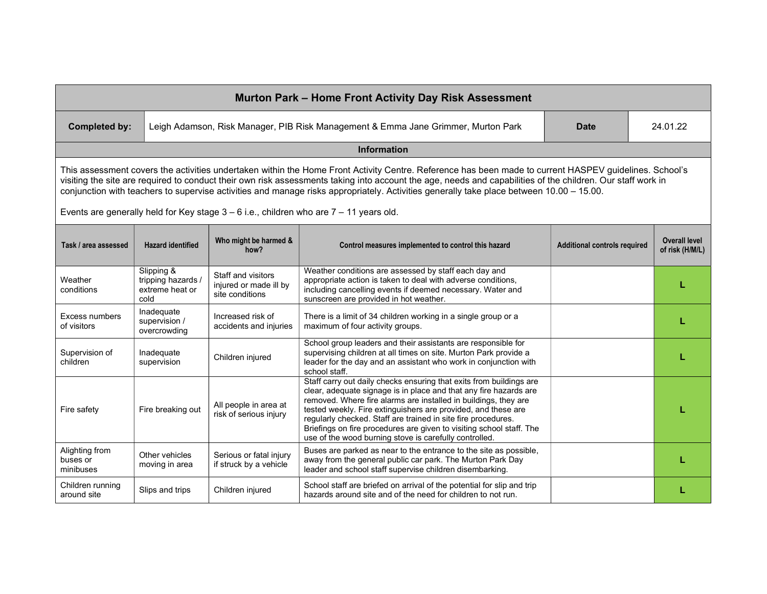| Murton Park - Home Front Activity Day Risk Assessment                                                                                                                                                                                                                                                                                                                                                                                                             |                                                             |                                                                 |                                                                                                                                                                                                                                                                                                                                                                                                                                                                                 |                                     |                                         |  |  |  |  |  |
|-------------------------------------------------------------------------------------------------------------------------------------------------------------------------------------------------------------------------------------------------------------------------------------------------------------------------------------------------------------------------------------------------------------------------------------------------------------------|-------------------------------------------------------------|-----------------------------------------------------------------|---------------------------------------------------------------------------------------------------------------------------------------------------------------------------------------------------------------------------------------------------------------------------------------------------------------------------------------------------------------------------------------------------------------------------------------------------------------------------------|-------------------------------------|-----------------------------------------|--|--|--|--|--|
| <b>Completed by:</b>                                                                                                                                                                                                                                                                                                                                                                                                                                              |                                                             |                                                                 | Leigh Adamson, Risk Manager, PIB Risk Management & Emma Jane Grimmer, Murton Park                                                                                                                                                                                                                                                                                                                                                                                               | Date                                | 24.01.22                                |  |  |  |  |  |
| Information                                                                                                                                                                                                                                                                                                                                                                                                                                                       |                                                             |                                                                 |                                                                                                                                                                                                                                                                                                                                                                                                                                                                                 |                                     |                                         |  |  |  |  |  |
| This assessment covers the activities undertaken within the Home Front Activity Centre. Reference has been made to current HASPEV guidelines. School's<br>visiting the site are required to conduct their own risk assessments taking into account the age, needs and capabilities of the children. Our staff work in<br>conjunction with teachers to supervise activities and manage risks appropriately. Activities generally take place between 10.00 - 15.00. |                                                             |                                                                 |                                                                                                                                                                                                                                                                                                                                                                                                                                                                                 |                                     |                                         |  |  |  |  |  |
| Events are generally held for Key stage $3 - 6$ i.e., children who are $7 - 11$ years old.                                                                                                                                                                                                                                                                                                                                                                        |                                                             |                                                                 |                                                                                                                                                                                                                                                                                                                                                                                                                                                                                 |                                     |                                         |  |  |  |  |  |
| Task / area assessed                                                                                                                                                                                                                                                                                                                                                                                                                                              | <b>Hazard identified</b>                                    | Who might be harmed &<br>how?                                   | Control measures implemented to control this hazard                                                                                                                                                                                                                                                                                                                                                                                                                             | <b>Additional controls required</b> | <b>Overall level</b><br>of risk (H/M/L) |  |  |  |  |  |
| Weather<br>conditions                                                                                                                                                                                                                                                                                                                                                                                                                                             | Slipping &<br>tripping hazards /<br>extreme heat or<br>cold | Staff and visitors<br>injured or made ill by<br>site conditions | Weather conditions are assessed by staff each day and<br>appropriate action is taken to deal with adverse conditions,<br>including cancelling events if deemed necessary. Water and<br>sunscreen are provided in hot weather.                                                                                                                                                                                                                                                   |                                     |                                         |  |  |  |  |  |
| Excess numbers<br>of visitors                                                                                                                                                                                                                                                                                                                                                                                                                                     | Inadequate<br>supervision /<br>overcrowding                 | Increased risk of<br>accidents and injuries                     | There is a limit of 34 children working in a single group or a<br>maximum of four activity groups.                                                                                                                                                                                                                                                                                                                                                                              |                                     |                                         |  |  |  |  |  |
| Supervision of<br>children                                                                                                                                                                                                                                                                                                                                                                                                                                        | Inadequate<br>supervision                                   | Children injured                                                | School group leaders and their assistants are responsible for<br>supervising children at all times on site. Murton Park provide a<br>leader for the day and an assistant who work in conjunction with<br>school staff.                                                                                                                                                                                                                                                          |                                     |                                         |  |  |  |  |  |
| Fire safety                                                                                                                                                                                                                                                                                                                                                                                                                                                       | Fire breaking out                                           | All people in area at<br>risk of serious injury                 | Staff carry out daily checks ensuring that exits from buildings are<br>clear, adequate signage is in place and that any fire hazards are<br>removed. Where fire alarms are installed in buildings, they are<br>tested weekly. Fire extinguishers are provided, and these are<br>regularly checked. Staff are trained in site fire procedures.<br>Briefings on fire procedures are given to visiting school staff. The<br>use of the wood burning stove is carefully controlled. |                                     |                                         |  |  |  |  |  |
| Alighting from<br>buses or<br>minibuses                                                                                                                                                                                                                                                                                                                                                                                                                           | Other vehicles<br>moving in area                            | Serious or fatal injury<br>if struck by a vehicle               | Buses are parked as near to the entrance to the site as possible,<br>away from the general public car park. The Murton Park Day<br>leader and school staff supervise children disembarking.                                                                                                                                                                                                                                                                                     |                                     |                                         |  |  |  |  |  |
| Children running<br>around site                                                                                                                                                                                                                                                                                                                                                                                                                                   | Slips and trips                                             | Children injured                                                | School staff are briefed on arrival of the potential for slip and trip<br>hazards around site and of the need for children to not run.                                                                                                                                                                                                                                                                                                                                          |                                     |                                         |  |  |  |  |  |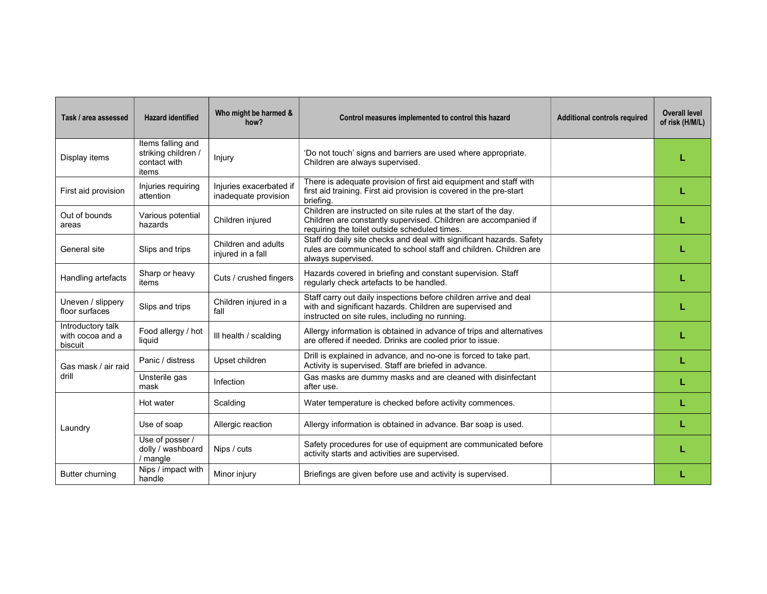| Task / area assessed                             | <b>Hazard identified</b>                                          | Who might be harmed &<br>how?                   | Control measures implemented to control this hazard                                                                                                                                | <b>Additional controls required</b> | <b>Overall level</b><br>of risk (H/M/L) |
|--------------------------------------------------|-------------------------------------------------------------------|-------------------------------------------------|------------------------------------------------------------------------------------------------------------------------------------------------------------------------------------|-------------------------------------|-----------------------------------------|
| Display items                                    | Items falling and<br>striking children /<br>contact with<br>items | Injury                                          | 'Do not touch' signs and barriers are used where appropriate.<br>Children are always supervised.                                                                                   |                                     |                                         |
| First aid provision                              | Injuries requiring<br>attention                                   | Injuries exacerbated if<br>inadequate provision | There is adequate provision of first aid equipment and staff with<br>first aid training. First aid provision is covered in the pre-start<br>briefing.                              |                                     |                                         |
| Out of bounds<br>areas                           | Various potential<br>hazards                                      | Children injured                                | Children are instructed on site rules at the start of the day.<br>Children are constantly supervised. Children are accompanied if<br>requiring the toilet outside scheduled times. |                                     |                                         |
| General site                                     | Slips and trips                                                   | Children and adults<br>injured in a fall        | Staff do daily site checks and deal with significant hazards. Safety<br>rules are communicated to school staff and children. Children are<br>always supervised.                    |                                     |                                         |
| Handling artefacts                               | Sharp or heavy<br>items                                           | Cuts / crushed fingers                          | Hazards covered in briefing and constant supervision. Staff<br>regularly check artefacts to be handled.                                                                            |                                     |                                         |
| Uneven / slippery<br>floor surfaces              | Slips and trips                                                   | Children injured in a<br>fall                   | Staff carry out daily inspections before children arrive and deal<br>with and significant hazards. Children are supervised and<br>instructed on site rules, including no running.  |                                     |                                         |
| Introductory talk<br>with cocoa and a<br>biscuit | Food allergy / hot<br>liquid                                      | III health / scalding                           | Allergy information is obtained in advance of trips and alternatives<br>are offered if needed. Drinks are cooled prior to issue.                                                   |                                     |                                         |
| Gas mask / air raid<br>drill                     | Panic / distress                                                  | Upset children                                  | Drill is explained in advance, and no-one is forced to take part.<br>Activity is supervised. Staff are briefed in advance.                                                         |                                     |                                         |
|                                                  | Unsterile gas<br>mask                                             | Infection                                       | Gas masks are dummy masks and are cleaned with disinfectant<br>after use.                                                                                                          |                                     |                                         |
| Laundry                                          | Hot water                                                         | Scalding                                        | Water temperature is checked before activity commences.                                                                                                                            |                                     |                                         |
|                                                  | Use of soap                                                       | Allergic reaction                               | Allergy information is obtained in advance. Bar soap is used.                                                                                                                      |                                     |                                         |
|                                                  | Use of posser /<br>dolly / washboard<br>/ mangle                  | Nips / cuts                                     | Safety procedures for use of equipment are communicated before<br>activity starts and activities are supervised.                                                                   |                                     |                                         |
| Butter churning                                  | Nips / impact with<br>handle                                      | Minor injury                                    | Briefings are given before use and activity is supervised.                                                                                                                         |                                     |                                         |